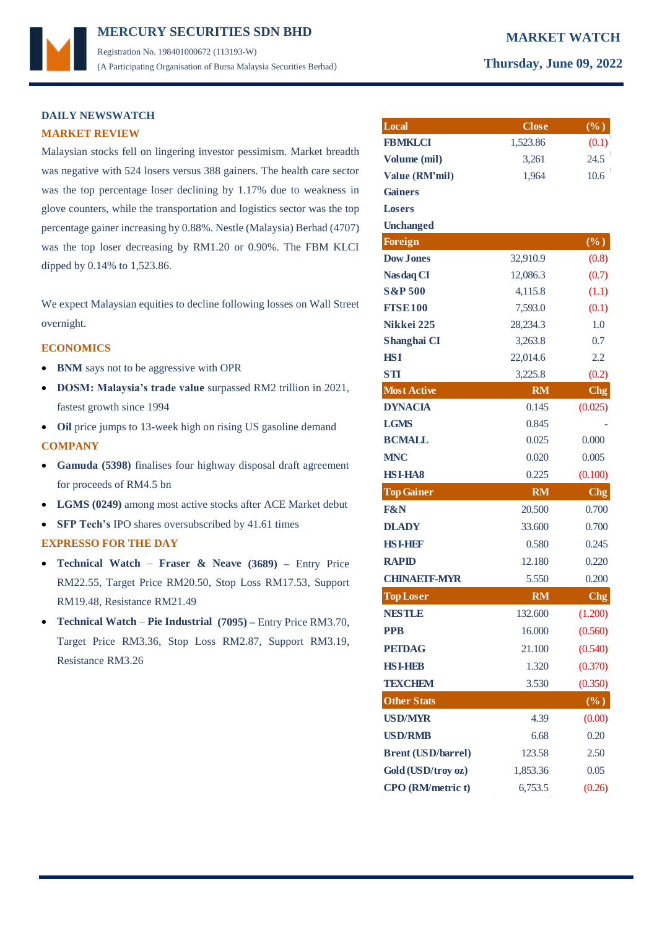## **MERCURY MARKET WATCH SECURITIES SDN BHD**  Registration No. 198401000672 (113193-W) (A Participating Organisation of Bursa Malaysia Securities Berhad) **Thursday, June 09, 2022**

## **DAILY NEWSWATCH MARKET REVIEW**

Malaysian stocks fell on lingering investor pessimism. Market breadth was negative with 524 losers versus 388 gainers. The health care sector was the top percentage loser declining by 1.17% due to weakness in glove counters, while the transportation and logistics sector was the top percentage gainer increasing by 0.88%. Nestle (Malaysia) Berhad (4707) was the top loser decreasing by RM1.20 or 0.90%. The FBM KLCI dipped by 0.14% to 1,523.86.

We expect Malaysian equities to decline following losses on Wall Street overnight.

### **ECONOMICS**

- **BNM** says not to be aggressive with OPR
- **DOSM: Malaysia's trade value** surpassed RM2 trillion in 2021, fastest growth since 1994
- **Oil** price jumps to 13-week high on rising US gasoline demand **COMPANY**
- **Gamuda (5398)** finalises four highway disposal draft agreement for proceeds of RM4.5 bn
- **LGMS (0249)** among most active stocks after ACE Market debut
- **SFP Tech's** IPO shares oversubscribed by 41.61 times

## **EXPRESSO FOR THE DAY**

- **Technical Watch Fraser & Neave (3689) –** Entry Price RM22.55, Target Price RM20.50, Stop Loss RM17.53, Support RM19.48, Resistance RM21.49
- **Technical Watch Pie Industrial (7095) –** Entry Price RM3.70, Target Price RM3.36, Stop Loss RM2.87, Support RM3.19, Resistance RM3.26

| Local                     | <b>Close</b> | $(\%)$          |
|---------------------------|--------------|-----------------|
| <b>FBMKLCI</b>            | 1,523.86     | (0.1)           |
| Volume (mil)              | 3,261        | 24.5            |
| Value (RM'mil)            | 1,964        | 10.6            |
| <b>Gainers</b>            |              |                 |
| Losers                    |              |                 |
| <b>Unchanged</b>          |              |                 |
| <b>Foreign</b>            |              | $(\%)$          |
| <b>Dow Jones</b>          | 32,910.9     | (0.8)           |
| <b>Nasdaq CI</b>          | 12,086.3     | (0.7)           |
| <b>S&amp;P 500</b>        | 4,115.8      | (1.1)           |
| <b>FTSE100</b>            | 7,593.0      | (0.1)           |
| Nikkei 225                | 28,234.3     | 1.0             |
| Shanghai CI               | 3,263.8      | 0.7             |
| <b>HSI</b>                | 22,014.6     | 2.2             |
| <b>STI</b>                | 3,225.8      | (0.2)           |
| <b>Most Active</b>        | <b>RM</b>    | <b>Chg</b>      |
| <b>DYNACIA</b>            | 0.145        | (0.025)         |
| <b>LGMS</b>               | 0.845        |                 |
| <b>BCMALL</b>             | 0.025        | 0.000           |
| <b>MNC</b>                | 0.020        | 0.005           |
| <b>HSI-HA8</b>            | 0.225        | (0.100)         |
| <b>Top Gainer</b>         | <b>RM</b>    | C <sub>ng</sub> |
| <b>F&amp;N</b>            | 20.500       | 0.700           |
| <b>DLADY</b>              | 33.600       | 0.700           |
| <b>HSI-HDF</b>            | 0.580        | 0.245           |
| <b>RAPID</b>              | 12.180       | 0.220           |
| <b>CHINAETF-MYR</b>       | 5.550        | 0.200           |
| <b>Top Loser</b>          | <b>RM</b>    | Chg             |
| <b>NESTLE</b>             | 132.600      | (1.200)         |
| <b>PPB</b>                | 16.000       | (0.560)         |
| <b>PETDAG</b>             | 21.100       | (0.540)         |
| <b>HSI-HBB</b>            | 1.320        | (0.370)         |
| <b>TEXCHEM</b>            | 3.530        | (0.350)         |
| <b>Other Stats</b>        |              | $(\%)$          |
| <b>USD/MYR</b>            | 4.39         | (0.00)          |
| <b>USD/RMB</b>            | 6.68         | 0.20            |
| <b>Brent (USD/barrel)</b> | 123.58       | 2.50            |
| Gold (USD/troy oz)        | 1,853.36     | 0.05            |
| <b>CPO</b> (RM/metric t)  | 6,753.5      | (0.26)          |
|                           |              |                 |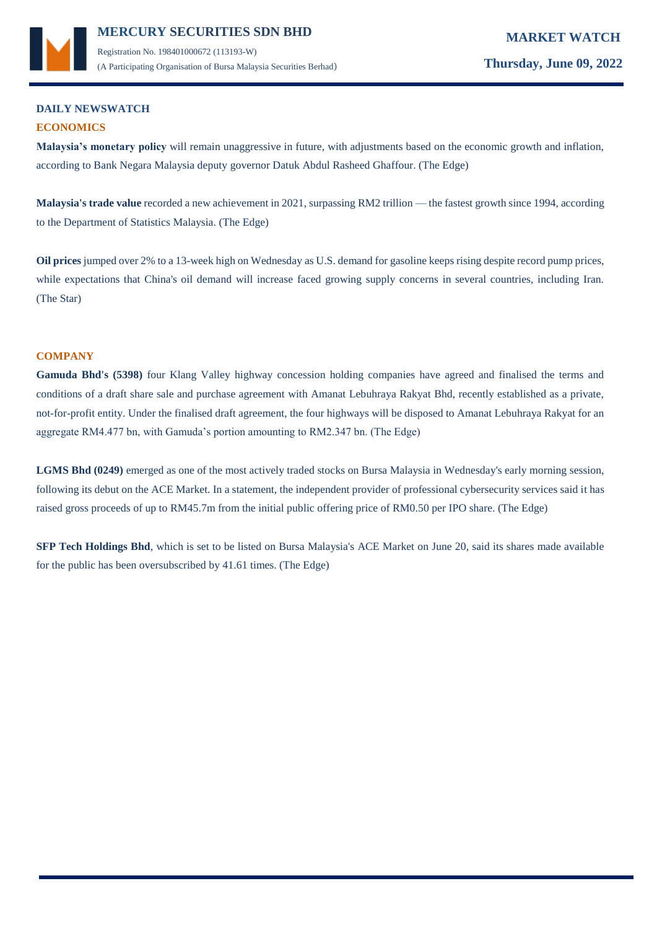

## **DAILY NEWSWATCH ECONOMICS**

**Malaysia's monetary policy** will remain unaggressive in future, with adjustments based on the economic growth and inflation, according to Bank Negara Malaysia deputy governor Datuk Abdul Rasheed Ghaffour. (The Edge)

**Malaysia's trade value** recorded a new achievement in 2021, surpassing RM2 trillion — the fastest growth since 1994, according to the Department of Statistics Malaysia. (The Edge)

**Oil prices** jumped over 2% to a 13-week high on Wednesday as U.S. demand for gasoline keeps rising despite record pump prices, while expectations that China's oil demand will increase faced growing supply concerns in several countries, including Iran. (The Star)

## **COMPANY**

**Gamuda Bhd's (5398)** four Klang Valley highway concession holding companies have agreed and finalised the terms and conditions of a draft share sale and purchase agreement with Amanat Lebuhraya Rakyat Bhd, recently established as a private, not-for-profit entity. Under the finalised draft agreement, the four highways will be disposed to Amanat Lebuhraya Rakyat for an aggregate RM4.477 bn, with Gamuda's portion amounting to RM2.347 bn. (The Edge)

LGMS Bhd (0249) emerged as one of the most actively traded stocks on Bursa Malaysia in Wednesday's early morning session, following its debut on the ACE Market. In a statement, the independent provider of professional cybersecurity services said it has raised gross proceeds of up to RM45.7m from the initial public offering price of RM0.50 per IPO share. (The Edge)

**SFP Tech Holdings Bhd**, which is set to be listed on Bursa Malaysia's ACE Market on June 20, said its shares made available for the public has been oversubscribed by 41.61 times. (The Edge)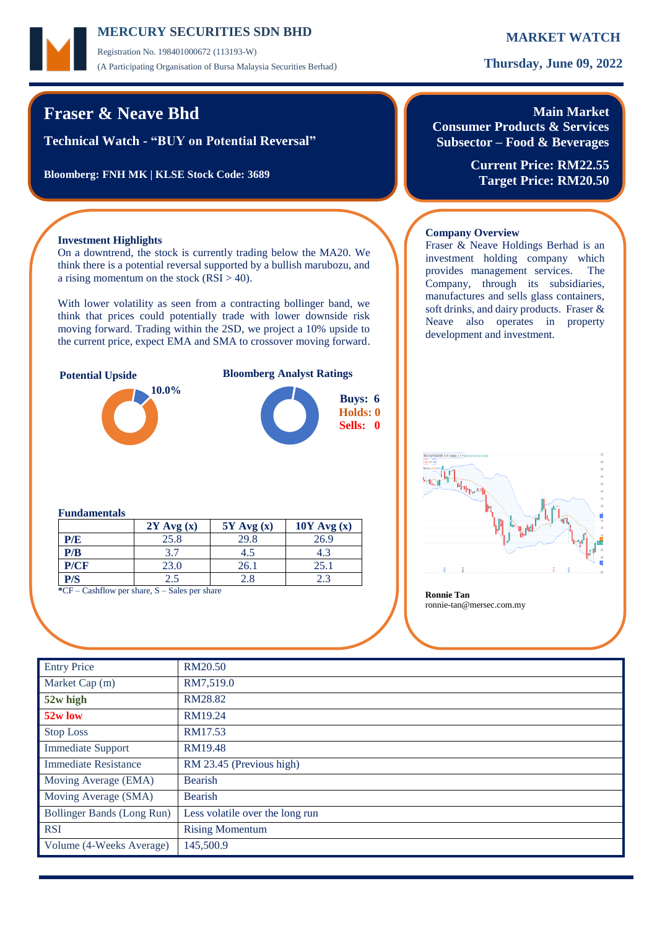Registration No. 198401000672 (113193-W) (A Participating Organisation of Bursa Malaysia Securities Berhad) **Thursday, June 09, 2022**

## **Fraser & Neave Bhd**

**Technical Watch - "BUY on Potential Reversal"**

**Bloomberg: FNH MK | KLSE Stock Code: 3689**

# **Main Market**

**Consumer Products & Services Subsector – Food & Beverages**

Fraser & Neave Holdings Berhad is an investment holding company which provides management services. The Company, through its subsidiaries, manufactures and sells glass containers, soft drinks, and dairy products. Fraser & Neave also operates in property

**Current Price: RM22.55 Target Price: RM20.50**

### **Investment Highlights**

On a downtrend, the stock is currently trading below the MA20. We think there is a potential reversal supported by a bullish marubozu, and a rising momentum on the stock  $(RSI > 40)$ .

With lower volatility as seen from a contracting bollinger band, we think that prices could potentially trade with lower downside risk moving forward. Trading within the 2SD, we project a 10% upside to the current price, expect EMA and SMA to crossover moving forward.



development and investment.

**Company Overview**

### **Fundamentals**

|                                                          | $2Y$ Avg $(x)$ | $5Y$ Avg $(x)$ | $10Y$ Avg $(x)$ |  |  |  |  |
|----------------------------------------------------------|----------------|----------------|-----------------|--|--|--|--|
| P/E                                                      | 25.8           | 29.8           | 26.9            |  |  |  |  |
| P/B                                                      | 3.7            | 4.5            |                 |  |  |  |  |
| P/CF                                                     | 23.0           | 26.1           | 25.1            |  |  |  |  |
| P/S                                                      | 2.5            | 2.8            |                 |  |  |  |  |
| $k$ CE Cookflowing shows $\mathcal{C}$<br>Colognon chong |                |                |                 |  |  |  |  |

**Example 1 Ronnie Tan Ronnie Tan Ronnie Tan Ronnie Tan** 

ronnie-tan@mersec.com.my

| <b>Entry Price</b>          | RM20.50                         |
|-----------------------------|---------------------------------|
| Market Cap (m)              | RM7,519.0                       |
| 52w high                    | RM28.82                         |
| 52w low                     | RM19.24                         |
| <b>Stop Loss</b>            | RM17.53                         |
| <b>Immediate Support</b>    | RM19.48                         |
| <b>Immediate Resistance</b> | RM 23.45 (Previous high)        |
| Moving Average (EMA)        | <b>Bearish</b>                  |
| Moving Average (SMA)        | <b>Bearish</b>                  |
| Bollinger Bands (Long Run)  | Less volatile over the long run |
| <b>RSI</b>                  | <b>Rising Momentum</b>          |
| Volume (4-Weeks Average)    | 145,500.9                       |
|                             |                                 |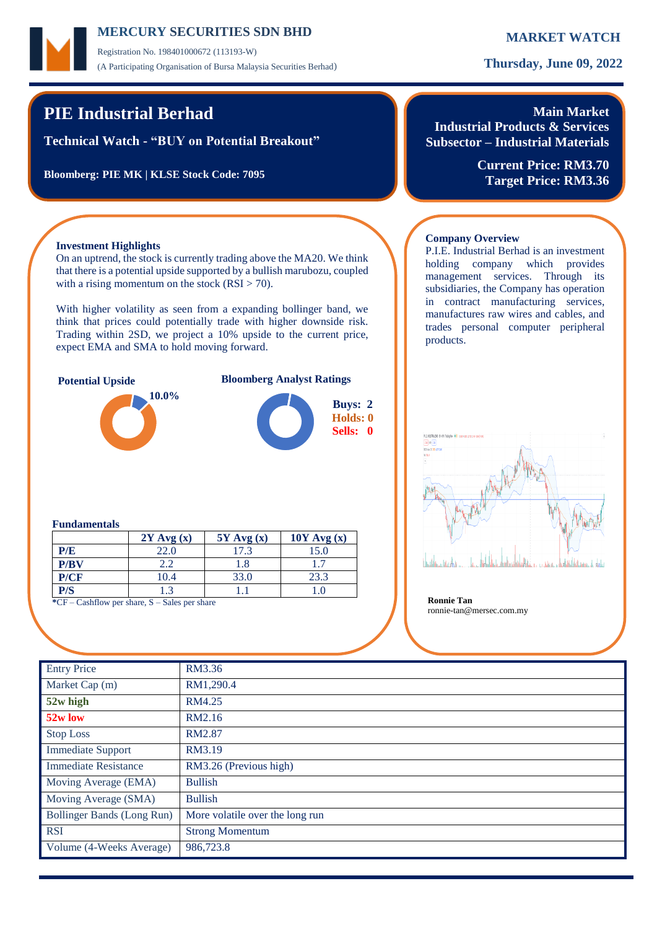Registration No. 198401000672 (113193-W) (A Participating Organisation of Bursa Malaysia Securities Berhad) **Thursday, June 09, 2022**

## **PIE Industrial Berhad**

**Technical Watch - "BUY on Potential Breakout"**

**Bloomberg: PIE MK | KLSE Stock Code: 7095**

## **Main Market Industrial Products & Services**

**Subsector – Industrial Materials**

P.I.E. Industrial Berhad is an investment holding company which provides management services. Through its subsidiaries, the Company has operation in contract manufacturing services, manufactures raw wires and cables, and trades personal computer peripheral

**Company Overview**

products.

**Current Price: RM3.70 Target Price: RM3.36**

### **Investment Highlights**

On an uptrend, the stock is currently trading above the MA20. We think that there is a potential upside supported by a bullish marubozu, coupled with a rising momentum on the stock  $(RSI > 70)$ .

With higher volatility as seen from a expanding bollinger band, we think that prices could potentially trade with higher downside risk. Trading within 2SD, we project a 10% upside to the current price, expect EMA and SMA to hold moving forward.



### **Potential Upside Bloomberg Analyst Ratings**



**Buys: 2**

### **Fundamentals**

|      | $2Y$ Avg $(x)$ | $5Y$ Avg $(x)$ | $10Y$ Avg $(x)$ |
|------|----------------|----------------|-----------------|
| P/E  | 22.0           | 17.3           | 15.0            |
| P/BV | 2.2            | 1.8            |                 |
| P/CF | 10.4           | 33.0           | 23.3            |
| P/S  | 1.3            |                |                 |

**\***CF – Cashflow per share, S – Sales per share **Ronnie Tan**



ronnie-tan@mersec.com.my

| <b>Entry Price</b>          | RM3.36                          |
|-----------------------------|---------------------------------|
| Market Cap (m)              | RM1,290.4                       |
| 52w high                    | RM4.25                          |
| 52w low                     | RM2.16                          |
| <b>Stop Loss</b>            | RM2.87                          |
| <b>Immediate Support</b>    | RM3.19                          |
| <b>Immediate Resistance</b> | RM3.26 (Previous high)          |
| Moving Average (EMA)        | <b>Bullish</b>                  |
| Moving Average (SMA)        | <b>Bullish</b>                  |
| Bollinger Bands (Long Run)  | More volatile over the long run |
| <b>RSI</b>                  | <b>Strong Momentum</b>          |
| Volume (4-Weeks Average)    | 986,723.8                       |
|                             |                                 |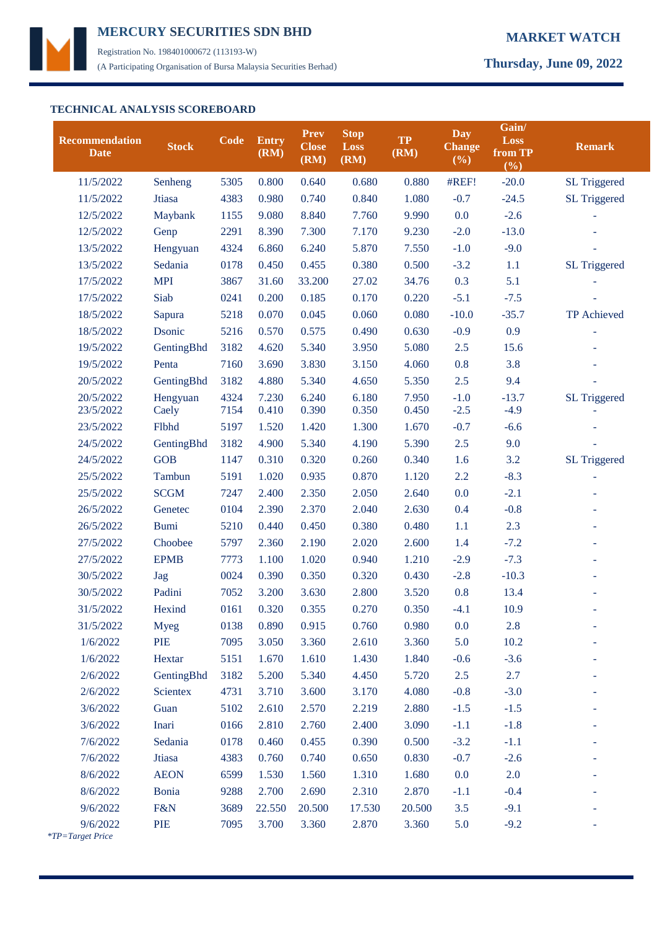

Registration No. 198401000672 (113193-W) (A Participating Organisation of Bursa Malaysia Securities Berhad) **Thursday, June 09, 2022**

### **TECHNICAL ANALYSIS SCOREBOARD**

| <b>Recommendation</b><br><b>Date</b> | <b>Stock</b>    | Code | Entry<br>(RM) | <b>Prev</b><br><b>Close</b><br>(RM) | <b>Stop</b><br><b>Loss</b><br>(RM) | <b>TP</b><br>(RM) | Day<br><b>Change</b><br>$(\%)$ | Gain/<br>Loss<br>from TP<br>(%) | <b>Remark</b>       |
|--------------------------------------|-----------------|------|---------------|-------------------------------------|------------------------------------|-------------------|--------------------------------|---------------------------------|---------------------|
| 11/5/2022                            | Senheng         | 5305 | 0.800         | 0.640                               | 0.680                              | 0.880             | #REF!                          | $-20.0$                         | <b>SL Triggered</b> |
| 11/5/2022                            | Jtiasa          | 4383 | 0.980         | 0.740                               | 0.840                              | 1.080             | $-0.7$                         | $-24.5$                         | <b>SL Triggered</b> |
| 12/5/2022                            | Maybank         | 1155 | 9.080         | 8.840                               | 7.760                              | 9.990             | 0.0                            | $-2.6$                          |                     |
| 12/5/2022                            | Genp            | 2291 | 8.390         | 7.300                               | 7.170                              | 9.230             | $-2.0$                         | $-13.0$                         |                     |
| 13/5/2022                            | Hengyuan        | 4324 | 6.860         | 6.240                               | 5.870                              | 7.550             | $-1.0$                         | $-9.0$                          |                     |
| 13/5/2022                            | Sedania         | 0178 | 0.450         | 0.455                               | 0.380                              | 0.500             | $-3.2$                         | 1.1                             | <b>SL Triggered</b> |
| 17/5/2022                            | <b>MPI</b>      | 3867 | 31.60         | 33.200                              | 27.02                              | 34.76             | 0.3                            | 5.1                             |                     |
| 17/5/2022                            | Siab            | 0241 | 0.200         | 0.185                               | 0.170                              | 0.220             | $-5.1$                         | $-7.5$                          |                     |
| 18/5/2022                            | Sapura          | 5218 | 0.070         | 0.045                               | 0.060                              | 0.080             | $-10.0$                        | $-35.7$                         | TP Achieved         |
| 18/5/2022                            | Dsonic          | 5216 | 0.570         | 0.575                               | 0.490                              | 0.630             | $-0.9$                         | 0.9                             |                     |
| 19/5/2022                            | GentingBhd      | 3182 | 4.620         | 5.340                               | 3.950                              | 5.080             | 2.5                            | 15.6                            |                     |
| 19/5/2022                            | Penta           | 7160 | 3.690         | 3.830                               | 3.150                              | 4.060             | 0.8                            | 3.8                             |                     |
| 20/5/2022                            | GentingBhd      | 3182 | 4.880         | 5.340                               | 4.650                              | 5.350             | 2.5                            | 9.4                             |                     |
| 20/5/2022                            | Hengyuan        | 4324 | 7.230         | 6.240                               | 6.180                              | 7.950             | $-1.0$                         | $-13.7$                         | <b>SL Triggered</b> |
| 23/5/2022                            | Caely           | 7154 | 0.410         | 0.390                               | 0.350                              | 0.450             | $-2.5$                         | $-4.9$                          |                     |
| 23/5/2022                            | Flbhd           | 5197 | 1.520         | 1.420                               | 1.300                              | 1.670             | $-0.7$                         | $-6.6$                          |                     |
| 24/5/2022                            | GentingBhd      | 3182 | 4.900         | 5.340                               | 4.190                              | 5.390             | 2.5                            | 9.0                             |                     |
| 24/5/2022                            | <b>GOB</b>      | 1147 | 0.310         | 0.320                               | 0.260                              | 0.340             | 1.6                            | 3.2                             | <b>SL Triggered</b> |
| 25/5/2022                            | Tambun          | 5191 | 1.020         | 0.935                               | 0.870                              | 1.120             | 2.2                            | $-8.3$                          |                     |
| 25/5/2022                            | <b>SCGM</b>     | 7247 | 2.400         | 2.350                               | 2.050                              | 2.640             | 0.0                            | $-2.1$                          |                     |
| 26/5/2022                            | Genetec         | 0104 | 2.390         | 2.370                               | 2.040                              | 2.630             | 0.4                            | $-0.8$                          |                     |
| 26/5/2022                            | <b>Bumi</b>     | 5210 | 0.440         | 0.450                               | 0.380                              | 0.480             | 1.1                            | 2.3                             |                     |
| 27/5/2022                            | Choobee         | 5797 | 2.360         | 2.190                               | 2.020                              | 2.600             | 1.4                            | $-7.2$                          |                     |
| 27/5/2022                            | <b>EPMB</b>     | 7773 | 1.100         | 1.020                               | 0.940                              | 1.210             | $-2.9$                         | $-7.3$                          |                     |
| 30/5/2022                            | Jag             | 0024 | 0.390         | 0.350                               | 0.320                              | 0.430             | $-2.8$                         | $-10.3$                         |                     |
| 30/5/2022                            | Padini          | 7052 | 3.200         | 3.630                               | 2.800                              | 3.520             | 0.8                            | 13.4                            |                     |
| 31/5/2022                            | Hexind          | 0161 | 0.320         | 0.355                               | 0.270                              | 0.350             | $-4.1$                         | 10.9                            |                     |
| 31/5/2022                            | <b>Myeg</b>     | 0138 | 0.890         | 0.915                               | 0.760                              | 0.980             | 0.0                            | 2.8                             |                     |
| 1/6/2022                             | <b>PIE</b>      | 7095 | 3.050         | 3.360                               | 2.610                              | 3.360             | 5.0                            | 10.2                            |                     |
| 1/6/2022                             | Hextar          | 5151 | 1.670         | 1.610                               | 1.430                              | 1.840             | $-0.6$                         | $-3.6$                          |                     |
| 2/6/2022                             | GentingBhd      | 3182 | 5.200         | 5.340                               | 4.450                              | 5.720             | 2.5                            | 2.7                             |                     |
| 2/6/2022                             | <b>Scientex</b> | 4731 | 3.710         | 3.600                               | 3.170                              | 4.080             | $-0.8$                         | $-3.0$                          |                     |
| 3/6/2022                             | Guan            | 5102 | 2.610         | 2.570                               | 2.219                              | 2.880             | $-1.5$                         | $-1.5$                          |                     |
| 3/6/2022                             | Inari           | 0166 | 2.810         | 2.760                               | 2.400                              | 3.090             | $-1.1$                         | $-1.8$                          |                     |
| 7/6/2022                             | Sedania         | 0178 | 0.460         | 0.455                               | 0.390                              | 0.500             | $-3.2$                         | $-1.1$                          |                     |
| 7/6/2022                             | Jtiasa          | 4383 | 0.760         | 0.740                               | 0.650                              | 0.830             | $-0.7$                         | $-2.6$                          |                     |
| 8/6/2022                             | <b>AEON</b>     | 6599 | 1.530         | 1.560                               | 1.310                              | 1.680             | 0.0                            | 2.0                             |                     |
| 8/6/2022                             | Bonia           | 9288 | 2.700         | 2.690                               | 2.310                              | 2.870             | $-1.1$                         | $-0.4$                          |                     |
| 9/6/2022                             | F&N             | 3689 | 22.550        | 20.500                              | 17.530                             | 20.500            | 3.5                            | $-9.1$                          |                     |
| 9/6/2022<br>*TP=Target Price         | <b>PIE</b>      | 7095 | 3.700         | 3.360                               | 2.870                              | 3.360             | 5.0                            | $-9.2$                          |                     |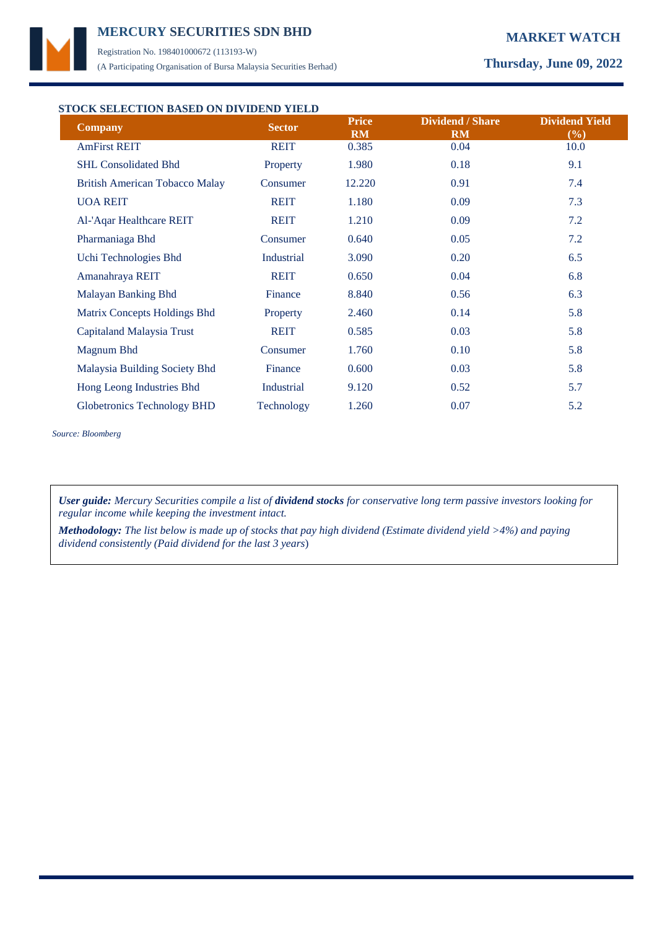

Registration No. 198401000672 (113193-W) (A Participating Organisation of Bursa Malaysia Securities Berhad) **Thursday, June 09, 2022**

### **STOCK SELECTION BASED ON DIVIDEND YIELD**

| Choliberton broad on british right<br><b>Company</b> | <b>Sector</b> | <b>Price</b><br><b>RM</b> | <b>Dividend / Share</b><br><b>RM</b> | <b>Dividend Yield</b><br>(%) |
|------------------------------------------------------|---------------|---------------------------|--------------------------------------|------------------------------|
| <b>AmFirst REIT</b>                                  | <b>REIT</b>   | 0.385                     | 0.04                                 | 10.0                         |
| <b>SHL Consolidated Bhd</b>                          | Property      | 1.980                     | 0.18                                 | 9.1                          |
| <b>British American Tobacco Malay</b>                | Consumer      | 12.220                    | 0.91                                 | 7.4                          |
| <b>UOA REIT</b>                                      | <b>REIT</b>   | 1.180                     | 0.09                                 | 7.3                          |
| Al-'Aqar Healthcare REIT                             | <b>REIT</b>   | 1.210                     | 0.09                                 | 7.2                          |
| Pharmaniaga Bhd                                      | Consumer      | 0.640                     | 0.05                                 | 7.2                          |
| Uchi Technologies Bhd                                | Industrial    | 3.090                     | 0.20                                 | 6.5                          |
| Amanahraya REIT                                      | <b>REIT</b>   | 0.650                     | 0.04                                 | 6.8                          |
| Malayan Banking Bhd                                  | Finance       | 8.840                     | 0.56                                 | 6.3                          |
| Matrix Concepts Holdings Bhd                         | Property      | 2.460                     | 0.14                                 | 5.8                          |
| Capitaland Malaysia Trust                            | <b>REIT</b>   | 0.585                     | 0.03                                 | 5.8                          |
| Magnum Bhd                                           | Consumer      | 1.760                     | 0.10                                 | 5.8                          |
| Malaysia Building Society Bhd                        | Finance       | 0.600                     | 0.03                                 | 5.8                          |
| Hong Leong Industries Bhd                            | Industrial    | 9.120                     | 0.52                                 | 5.7                          |
| <b>Globetronics Technology BHD</b>                   | Technology    | 1.260                     | 0.07                                 | 5.2                          |

*Source: Bloomberg*

*User guide: Mercury Securities compile a list of dividend stocks for conservative long term passive investors looking for regular income while keeping the investment intact.*

*Methodology: The list below is made up of stocks that pay high dividend (Estimate dividend yield >4%) and paying dividend consistently (Paid dividend for the last 3 years*)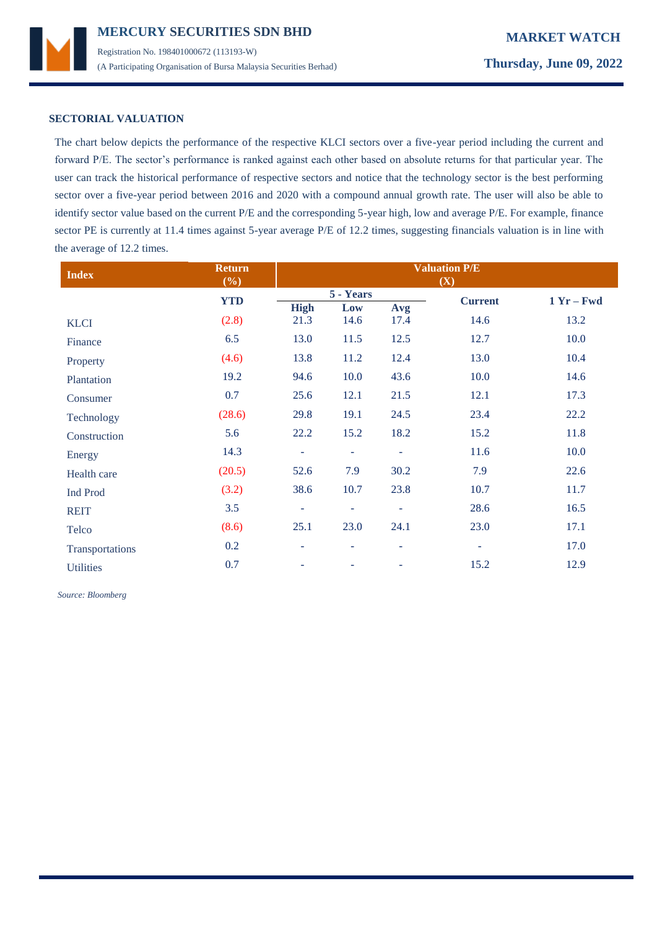

## **SECTORIAL VALUATION**

The chart below depicts the performance of the respective KLCI sectors over a five-year period including the current and forward P/E. The sector's performance is ranked against each other based on absolute returns for that particular year. The user can track the historical performance of respective sectors and notice that the technology sector is the best performing sector over a five-year period between 2016 and 2020 with a compound annual growth rate. The user will also be able to identify sector value based on the current P/E and the corresponding 5-year high, low and average P/E. For example, finance sector PE is currently at 11.4 times against 5-year average P/E of 12.2 times, suggesting financials valuation is in line with the average of 12.2 times.

| <b>Index</b>     | <b>Return</b><br>(%) | <b>Valuation P/E</b><br>(X) |                          |                          |                          |              |
|------------------|----------------------|-----------------------------|--------------------------|--------------------------|--------------------------|--------------|
|                  | <b>YTD</b>           |                             | 5 - Years                |                          | <b>Current</b>           | $1 Yr - Fwd$ |
|                  |                      | <b>High</b>                 | Low                      | Avg                      |                          |              |
| <b>KLCI</b>      | (2.8)                | 21.3                        | 14.6                     | 17.4                     | 14.6                     | 13.2         |
| Finance          | 6.5                  | 13.0                        | 11.5                     | 12.5                     | 12.7                     | 10.0         |
| Property         | (4.6)                | 13.8                        | 11.2                     | 12.4                     | 13.0                     | 10.4         |
| Plantation       | 19.2                 | 94.6                        | 10.0                     | 43.6                     | 10.0                     | 14.6         |
| Consumer         | 0.7                  | 25.6                        | 12.1                     | 21.5                     | 12.1                     | 17.3         |
| Technology       | (28.6)               | 29.8                        | 19.1                     | 24.5                     | 23.4                     | 22.2         |
| Construction     | 5.6                  | 22.2                        | 15.2                     | 18.2                     | 15.2                     | 11.8         |
| Energy           | 14.3                 | $\overline{\phantom{a}}$    | $\equiv$                 | ٠                        | 11.6                     | 10.0         |
| Health care      | (20.5)               | 52.6                        | 7.9                      | 30.2                     | 7.9                      | 22.6         |
| <b>Ind Prod</b>  | (3.2)                | 38.6                        | 10.7                     | 23.8                     | 10.7                     | 11.7         |
| <b>REIT</b>      | 3.5                  | ÷                           | $\overline{\phantom{a}}$ | ٠                        | 28.6                     | 16.5         |
| Telco            | (8.6)                | 25.1                        | 23.0                     | 24.1                     | 23.0                     | 17.1         |
| Transportations  | 0.2                  | ÷                           | $\overline{\phantom{a}}$ | $\overline{\phantom{a}}$ | $\overline{\phantom{a}}$ | 17.0         |
| <b>Utilities</b> | 0.7                  | ۰                           |                          |                          | 15.2                     | 12.9         |

 *Source: Bloomberg*